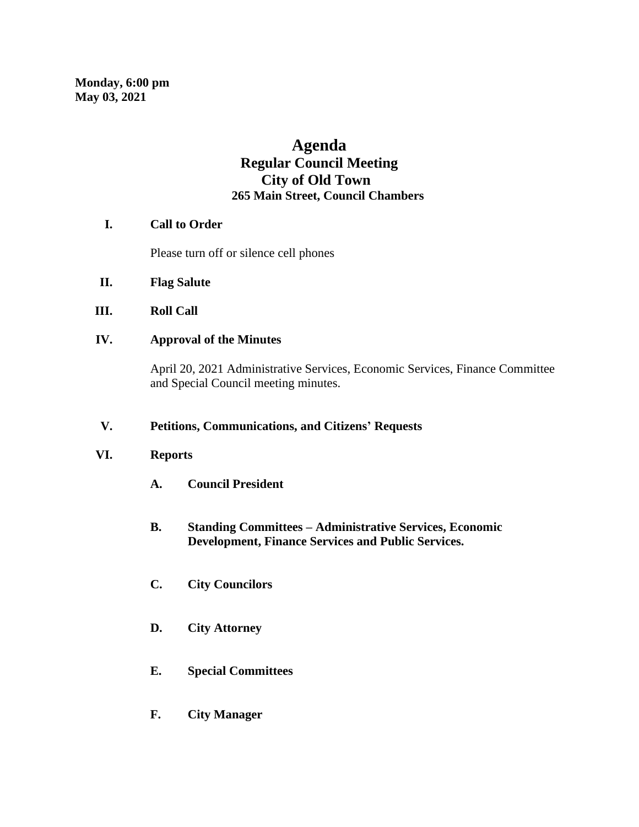# **Agenda Regular Council Meeting City of Old Town 265 Main Street, Council Chambers**

# **I. Call to Order**

Please turn off or silence cell phones

- **II. Flag Salute**
- **III. Roll Call**
- **IV. Approval of the Minutes**

April 20, 2021 Administrative Services, Economic Services, Finance Committee and Special Council meeting minutes.

### **V. Petitions, Communications, and Citizens' Requests**

# **VI. Reports**

- **A. Council President**
- **B. Standing Committees – Administrative Services, Economic Development, Finance Services and Public Services.**
- **C. City Councilors**
- **D. City Attorney**
- **E. Special Committees**
- **F. City Manager**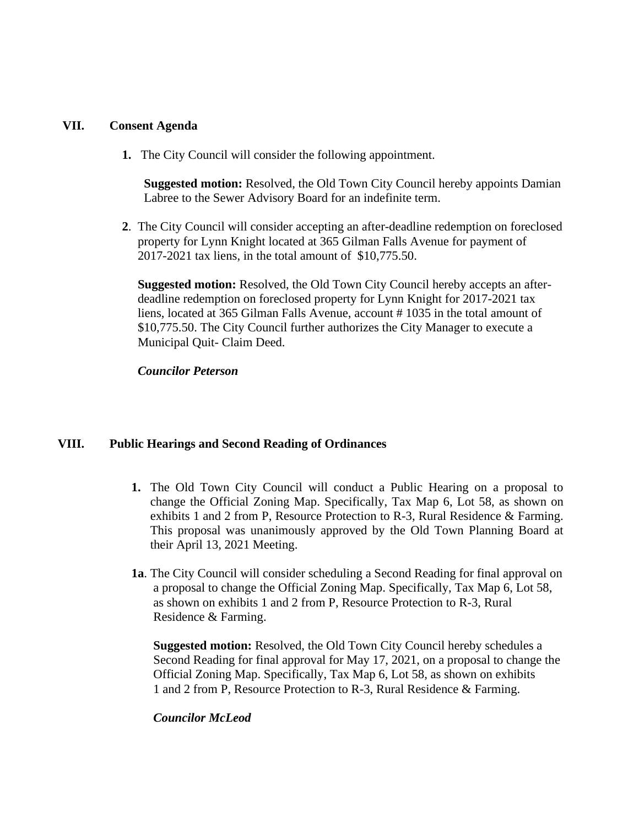#### **VII. Consent Agenda**

**1.** The City Council will consider the following appointment.

 **Suggested motion:** Resolved, the Old Town City Council hereby appoints Damian Labree to the Sewer Advisory Board for an indefinite term.

 **2**. The City Council will consider accepting an after-deadline redemption on foreclosed property for Lynn Knight located at 365 Gilman Falls Avenue for payment of 2017-2021 tax liens, in the total amount of \$10,775.50.

 **Suggested motion:** Resolved, the Old Town City Council hereby accepts an after deadline redemption on foreclosed property for Lynn Knight for 2017-2021 tax liens, located at 365 Gilman Falls Avenue, account # 1035 in the total amount of \$10,775.50. The City Council further authorizes the City Manager to execute a Municipal Quit- Claim Deed.

#### *Councilor Peterson*

#### **VIII. Public Hearings and Second Reading of Ordinances**

- **1.** The Old Town City Council will conduct a Public Hearing on a proposal to change the Official Zoning Map. Specifically, Tax Map 6, Lot 58, as shown on exhibits 1 and 2 from P, Resource Protection to R-3, Rural Residence & Farming. This proposal was unanimously approved by the Old Town Planning Board at their April 13, 2021 Meeting.
- **1a**. The City Council will consider scheduling a Second Reading for final approval on a proposal to change the Official Zoning Map. Specifically, Tax Map 6, Lot 58, as shown on exhibits 1 and 2 from P, Resource Protection to R-3, Rural Residence & Farming.

**Suggested motion:** Resolved, the Old Town City Council hereby schedules a Second Reading for final approval for May 17, 2021, on a proposal to change the Official Zoning Map. Specifically, Tax Map 6, Lot 58, as shown on exhibits 1 and 2 from P, Resource Protection to R-3, Rural Residence & Farming.

#### *Councilor McLeod*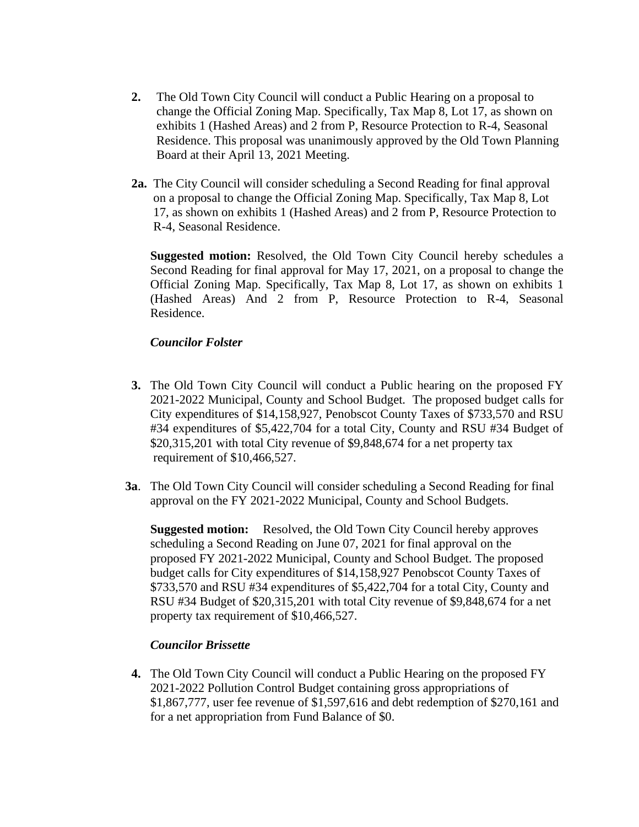- **2.** The Old Town City Council will conduct a Public Hearing on a proposal to change the Official Zoning Map. Specifically, Tax Map 8, Lot 17, as shown on exhibits 1 (Hashed Areas) and 2 from P, Resource Protection to R-4, Seasonal Residence. This proposal was unanimously approved by the Old Town Planning Board at their April 13, 2021 Meeting.
- **2a.** The City Council will consider scheduling a Second Reading for final approval on a proposal to change the Official Zoning Map. Specifically, Tax Map 8, Lot 17, as shown on exhibits 1 (Hashed Areas) and 2 from P, Resource Protection to R-4, Seasonal Residence.

**Suggested motion:** Resolved, the Old Town City Council hereby schedules a Second Reading for final approval for May 17, 2021, on a proposal to change the Official Zoning Map. Specifically, Tax Map 8, Lot 17, as shown on exhibits 1 (Hashed Areas) And 2 from P, Resource Protection to R-4, Seasonal Residence.

# *Councilor Folster*

- **3.** The Old Town City Council will conduct a Public hearing on the proposed FY 2021-2022 Municipal, County and School Budget. The proposed budget calls for City expenditures of \$14,158,927, Penobscot County Taxes of \$733,570 and RSU #34 expenditures of \$5,422,704 for a total City, County and RSU #34 Budget of \$20,315,201 with total City revenue of \$9,848,674 for a net property tax requirement of \$10,466,527.
- **3a**. The Old Town City Council will consider scheduling a Second Reading for final approval on the FY 2021-2022 Municipal, County and School Budgets.

 **Suggested motion:** Resolved, the Old Town City Council hereby approves scheduling a Second Reading on June 07, 2021 for final approval on the proposed FY 2021-2022 Municipal, County and School Budget. The proposed budget calls for City expenditures of \$14,158,927 Penobscot County Taxes of \$733,570 and RSU #34 expenditures of \$5,422,704 for a total City, County and RSU #34 Budget of \$20,315,201 with total City revenue of \$9,848,674 for a net property tax requirement of \$10,466,527.

#### *Councilor Brissette*

**4.** The Old Town City Council will conduct a Public Hearing on the proposed FY 2021-2022 Pollution Control Budget containing gross appropriations of \$1,867,777, user fee revenue of \$1,597,616 and debt redemption of \$270,161 and for a net appropriation from Fund Balance of \$0.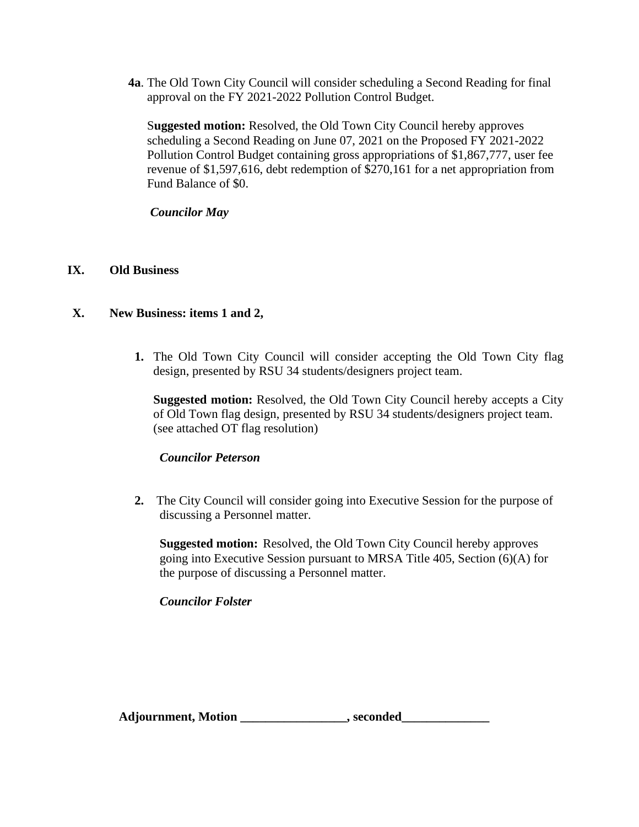**4a**. The Old Town City Council will consider scheduling a Second Reading for final approval on the FY 2021-2022 Pollution Control Budget.

 S**uggested motion:** Resolved, the Old Town City Council hereby approves scheduling a Second Reading on June 07, 2021 on the Proposed FY 2021-2022 Pollution Control Budget containing gross appropriations of \$1,867,777, user fee revenue of \$1,597,616, debt redemption of \$270,161 for a net appropriation from Fund Balance of \$0.

*Councilor May*

# **IX. Old Business**

# **X. New Business: items 1 and 2,**

**1.** The Old Town City Council will consider accepting the Old Town City flag design, presented by RSU 34 students/designers project team.

**Suggested motion:** Resolved, the Old Town City Council hereby accepts a City of Old Town flag design, presented by RSU 34 students/designers project team. (see attached OT flag resolution)

#### *Councilor Peterson*

**2.** The City Council will consider going into Executive Session for the purpose of discussing a Personnel matter.

 **Suggested motion:** Resolved, the Old Town City Council hereby approves going into Executive Session pursuant to MRSA Title 405, Section (6)(A) for the purpose of discussing a Personnel matter.

# *Councilor Folster*

Adjournment, Motion \_\_\_\_\_\_\_\_\_\_\_\_\_\_\_\_\_\_\_\_, seconded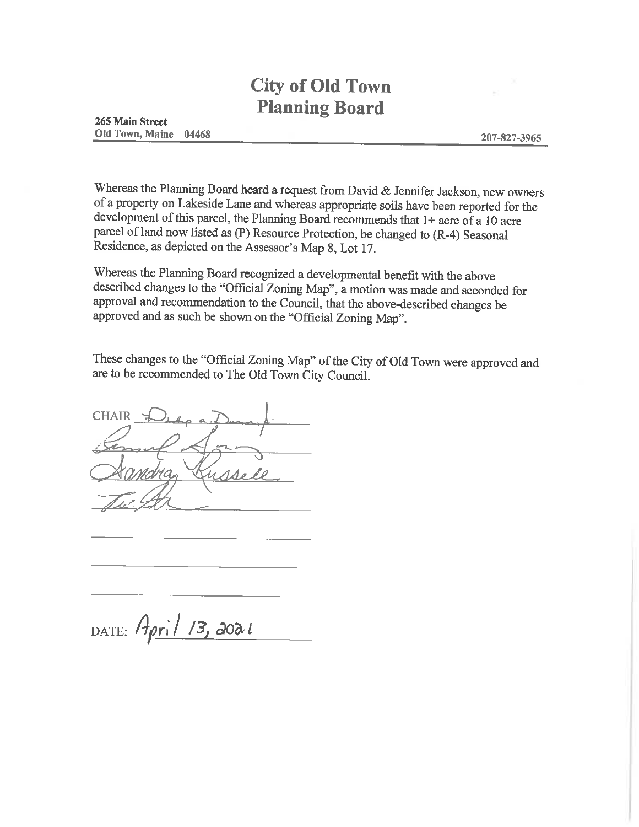# **City of Old Town Planning Board**

Whereas the Planning Board heard a request from David & Jennifer Jackson, new owners of a property on Lakeside Lane and whereas appropriate soils have been reported for the development of this parcel, the Planning Board recommends that 1+ acre of a 10 acre parcel of land now listed as (P) Resource Protection, be changed to (R-4) Seasonal Residence, as depicted on the Assessor's Map 8, Lot 17.

Whereas the Planning Board recognized a developmental benefit with the above described changes to the "Official Zoning Map", a motion was made and seconded for approval and recommendation to the Council, that the above-described changes be approved and as such be shown on the "Official Zoning Map".

These changes to the "Official Zoning Map" of the City of Old Town were approved and are to be recommended to The Old Town City Council.

**CHAIR** 

DATE: April 13, 2021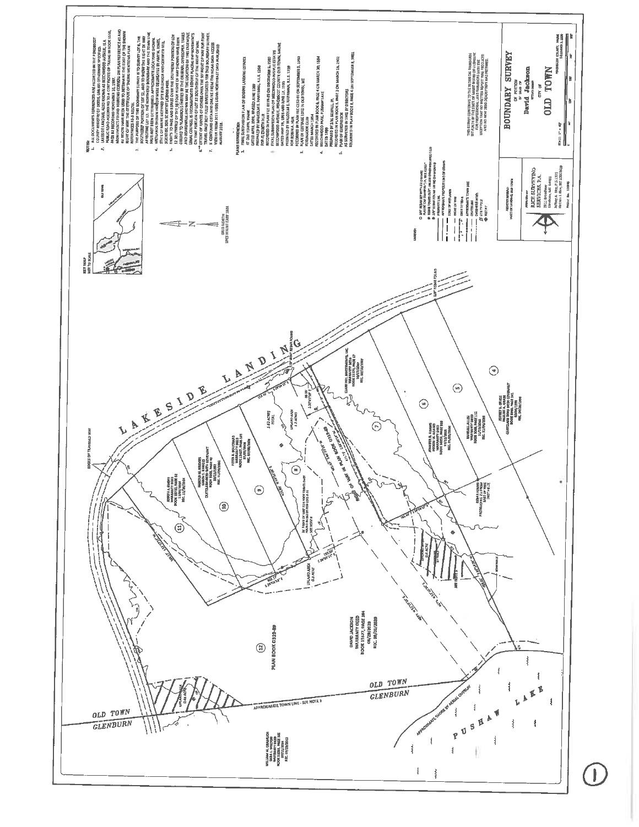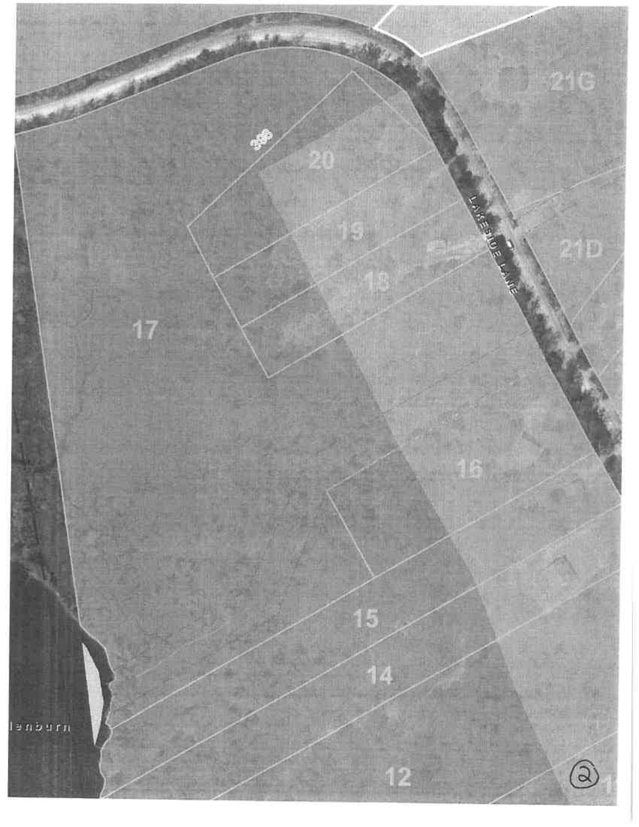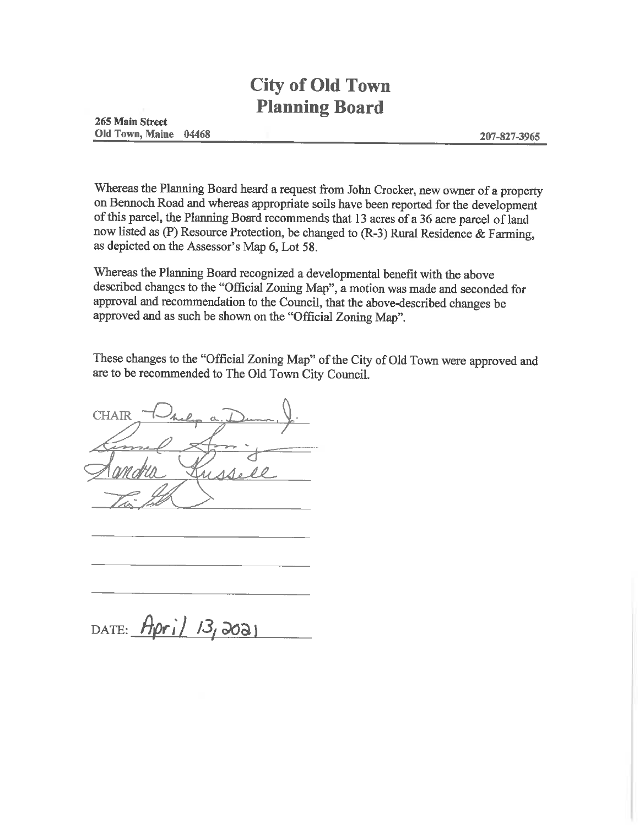# **City of Old Town Planning Board**

Whereas the Planning Board heard a request from John Crocker, new owner of a property on Bennoch Road and whereas appropriate soils have been reported for the development of this parcel, the Planning Board recommends that 13 acres of a 36 acre parcel of land now listed as (P) Resource Protection, be changed to  $(R-3)$  Rural Residence & Farming, as depicted on the Assessor's Map 6, Lot 58.

Whereas the Planning Board recognized a developmental benefit with the above described changes to the "Official Zoning Map", a motion was made and seconded for approval and recommendation to the Council, that the above-described changes be approved and as such be shown on the "Official Zoning Map".

These changes to the "Official Zoning Map" of the City of Old Town were approved and are to be recommended to The Old Town City Council.

**CHAIR** 

DATE:  $Apr1/13,3021$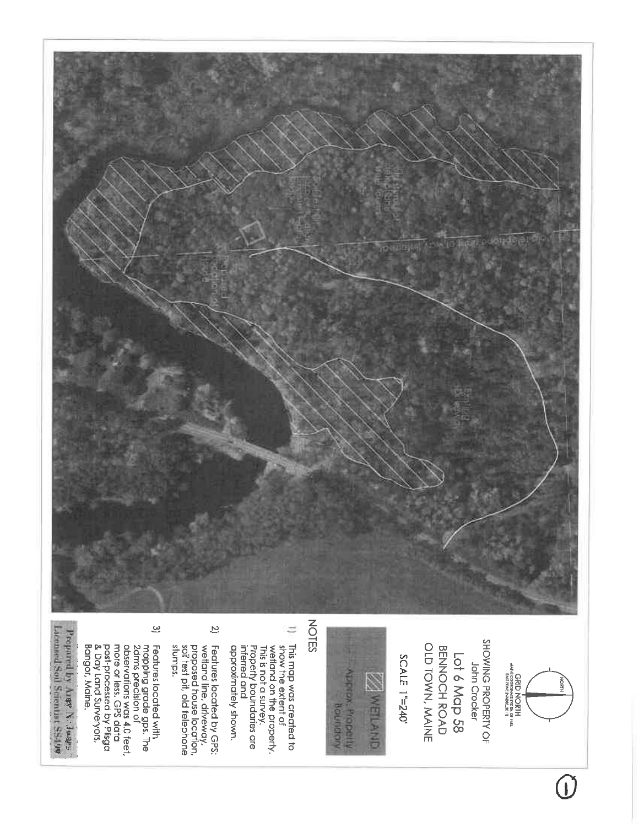

 $\bigcirc$